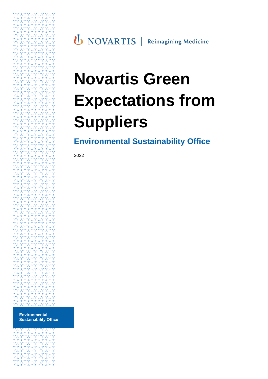**U** NOVARTIS | Reimagining Medicine

# **Novartis Green Expectations from Suppliers**

**Environmental Sustainability Office** 

2022

**Environmental Sustainability Office**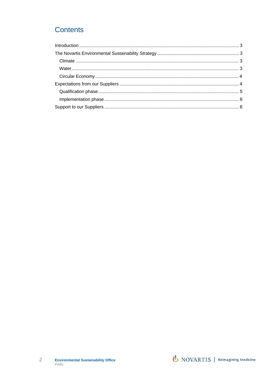# **Contents**

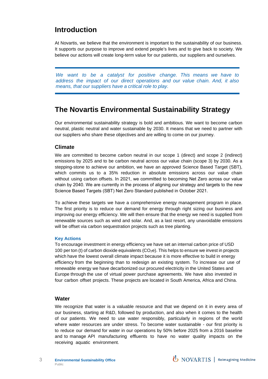# <span id="page-2-0"></span>**Introduction**

At Novartis, we believe that the environment is important to the sustainability of our business. It supports our purpose to improve and extend people's lives and to give back to society. We believe our actions will create long-term value for our patients, our suppliers and ourselves.

*We want to be a catalyst for positive change. This means we have to address the impact of our direct operations and our value chain. And, it also means, that our suppliers have a critical role to play.* 

# <span id="page-2-1"></span>**The Novartis Environmental Sustainability Strategy**

Our environmental sustainability strategy is bold and ambitious. We want to become carbon neutral, plastic neutral and water sustainable by 2030. It means that we need to partner with our suppliers who share these objectives and are willing to come on our journey.

## <span id="page-2-2"></span>**Climate**

We are committed to become carbon neutral in our scope 1 (direct) and scope 2 (indirect) emissions by 2025 and to be carbon neutral across our value chain (scope 3) by 2030. As a stepping-stone to achieve our ambition, we have an approved Science Based Target (SBT), which commits us to a 35% reduction in absolute emissions across our value chain without using carbon offsets. In 2021, we committed to becoming Net Zero across our value chain by 2040. We are currently in the process of aligning our strategy and targets to the new Science Based Targets (SBT) Net Zero Standard published in October 2021.

To achieve these targets we have a comprehensive energy management program in place. The first priority is to reduce our demand for energy through right sizing our business and improving our energy efficiency. We will then ensure that the energy we need is supplied from renewable sources such as wind and solar. And, as a last resort, any unavoidable emissions will be offset via carbon sequestration projects such as tree planting.

#### **Key Actions**

To encourage investment in energy efficiency we have set an internal carbon price of USD 100 per ton (t) of carbon dioxide equivalents  $(CO<sub>2</sub>e)$ . This helps to ensure we invest in projects which have the lowest overall climate impact because it is more effective to build in energy efficiency from the beginning than to redesign an existing system. To increase our use of renewable energy we have decarbonized our procured electricity in the United States and Europe through the use of virtual power purchase agreements. We have also invested in four carbon offset projects. These projects are located in South America, Africa and China.

#### <span id="page-2-3"></span>**Water**

We recognize that water is a valuable resource and that we depend on it in every area of our business, starting at R&D, followed by production, and also when it comes to the health of our patients. We need to use water responsibly, particularly in regions of the world where water resources are under stress. To become water sustainable - our first priority is to reduce our demand for water in our operations by 50% before 2025 from a 2016 baseline and to manage API manufacturing effluents to have no water quality impacts on the receiving aquatic environment.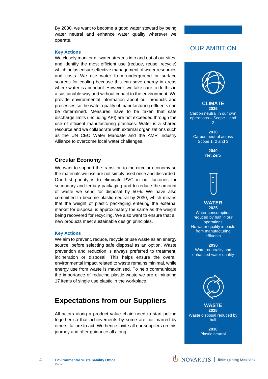By 2030, we want to become a good water steward by being water neutral and enhance water quality wherever we operate.

#### **Key Actions**

We closely monitor all water streams into and out of our sites, and identify the most efficient use (reduce, reuse, recycle) which helps ensure effective management of water resources and costs. We use water from underground or surface sources for cooling because this can save energy in areas where water is abundant. However, we take care to do this in a sustainable way and without impact to the environment. We provide environmental information about our products and processes so the water quality of manufacturing effluents can be determined. Measures have to be taken that safe discharge limits (including API) are not exceeded through the use of efficient manufacturing practices. Water is a shared resource and we collaborate with external organizations such as the UN CEO Water Mandate and the AMR Industry Alliance to overcome local water challenges.

## <span id="page-3-0"></span>**Circular Economy**

We want to support the transition to the circular economy so the materials we use are not simply used once and discarded. Our first priority is to eliminate PVC in our factories for secondary and tertiary packaging and to reduce the amount of waste we send for disposal by 50%. We have also committed to become plastic neutral by 2030, which means that the weight of plastic packaging entering the external market for disposal is approximately the same as the weight being recovered for recycling. We also want to ensure that all new products meet sustainable design principles.

#### **Key Actions**

We aim to prevent, reduce, recycle or use waste as an energy source, before selecting safe disposal as an option. Waste prevention and reduction is always preferred to treatment, incineration or disposal. This helps ensure the overall environmental impact related to waste remains minimal, while energy use from waste is maximised. To help communicate the importance of reducing plastic waste we are eliminating 17 items of single use plastic in the workplace.

# <span id="page-3-1"></span>**Expectations from our Suppliers**

All actors along a product value chain need to start pulling together so that achievements by some are not marred by others' failure to act. We hence invite all our suppliers on this journey and offer guidance all along it.

## OUR AMBITION



**2030** Plastic neutral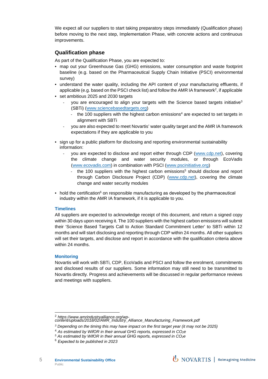We expect all our suppliers to start taking preparatory steps immediately (Qualification phase) before moving to the next step, Implementation Phase, with concrete actions and continuous improvements.

## <span id="page-4-0"></span>**Qualification phase**

As part of the Qualification Phase, you are expected to:

- map out your Greenhouse Gas (GHG) emissions, water consumption and waste footprint baseline (e.g. based on the Pharmaceutical Supply Chain Initiative (PSCI) environmental survey)
- understand the water quality, including the API content of your manufacturing effluents, if applicable (e.g. based on the PSCI check list) and follow the AMR [IA framework](https://www.amrindustryalliance.org/wp-content/uploads/2018/02/AMR_Industry_Alliance_Manufacturing_Framework.pdf) $^2$  $^2$ , if applicable
- set ambitious 2025 and 2030 targets
	- you are encouraged to align your targets with the Science based targets initiative<sup>[3](#page-4-2)</sup> (SBTi) [\(www.sciencebasedtargets.org\)](http://www.sciencebasedtargets.org/)
		- the 100 suppliers with the highest carbon emissions<sup>[4](#page-4-3)</sup> are expected to set targets in alignment with SBTi
	- you are also expected to meet Novartis' water quality target and the AMR IA framework expectations if they are applicable to you
- sign up for a public platform for disclosing and reporting environmental sustainability information:
	- you are expected to disclose and report either through CDP [\(www.cdp.net\),](http://www.cdp.net/) covering the climate change and water security modules, or through EcoVadis (www.ecovadis.com) in combination with PSCI (www.pscinitiative.org)
		- the 100 suppliers with the highest carbon emissions<sup>[5](#page-4-4)</sup> should disclose and report through Carbon Disclosure Project (CDP) [\(www.cdp.net\),](http://www.cdp.net/) covering the climate change and water security modules
- hold the certification<sup>[6](#page-4-5)</sup> on responsible manufacturing as developed by the pharmaceutical industry within the AMR IA framework, if it is applicable to you.

## **Timelines**

All suppliers are expected to acknowledge receipt of this document, and return a signed copy within 30 days upon receiving it. The 100 suppliers with the highest carbon emissions will submit their 'Science Based Targets Call to Action Standard Commitment Letter' to SBTi within 12 months and will start disclosing and reporting through CDP within 24 months. All other suppliers will set their targets, and disclose and report in accordance with the qualification criteria above within 24 months.

#### **Monitoring**

Novartis will work with SBTi, CDP, EcoVadis and PSCI and follow the enrolment, commitments and disclosed results of our suppliers. Some information may still need to be transmitted to Novartis directly. Progress and achievements will be discussed in regular performance reviews and meetings with suppliers.

<span id="page-4-1"></span>

<sup>2</sup> *https://www.amrindustryalliance.org/wp-content/uploads/2018/02/AMR\_Industry\_Alliance\_Manufacturing\_Framework.pdf*

<span id="page-4-3"></span><span id="page-4-2"></span>*<sup>3</sup> Depending on the timing this may have impact on the first target year (it may not be 2025)* 

<sup>4</sup> *As estimated by WifOR in their annual GHG reports, expressed in CO2e* 

<span id="page-4-4"></span>*<sup>5</sup> As estimated by WifOR in their annual GHG reports, expressed in CO2e* 

<span id="page-4-5"></span><sup>6</sup> *Expected to be published in 2023*